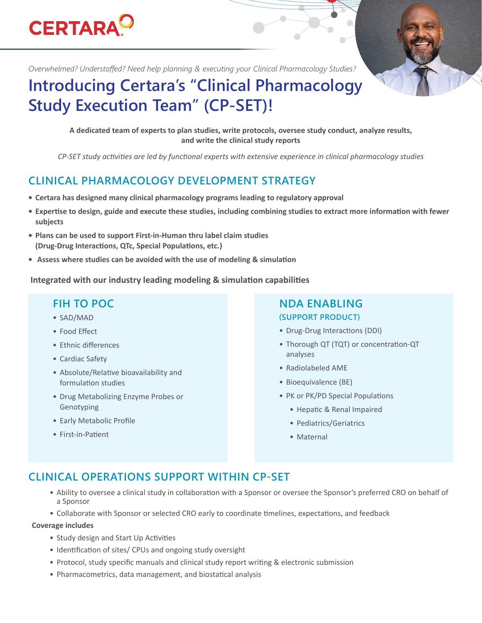# **CERTARA<sup>O</sup>**

*Overwhelmed? Understaffed? Need help planning & executing your Clinical Pharmacology Studies?*

## **Introducing Certara's "Clinical Pharmacology Study Execution Team" (CP-SET)!**

**A dedicated team of experts to plan studies, write protocols, oversee study conduct, analyze results, and write the clinical study reports** 

*CP-SET study activities are led by functional experts with extensive experience in clinical pharmacology studies*

## **CLINICAL PHARMACOLOGY DEVELOPMENT STRATEGY**

- **• Certara has designed many clinical pharmacology programs leading to regulatory approval**
- **• Expertise to design, guide and execute these studies, including combining studies to extract more information with fewer subjects**
- **• Plans can be used to support First-in-Human thru label claim studies (Drug-Drug Interactions, QTc, Special Populations, etc.)**
- **• Assess where studies can be avoided with the use of modeling & simulation**

 **Integrated with our industry leading modeling & simulation capabilities**

- SAD/MAD
- Food Effect
- Ethnic differences
- Cardiac Safety
- Absolute/Relative bioavailability and formulation studies
- Drug Metabolizing Enzyme Probes or Genotyping
- Early Metabolic Profile
- First-in-Patient

#### **FIH TO POC NDA ENABLING (SUPPORT PRODUCT)**

- Drug-Drug Interactions (DDI)
- Thorough QT (TQT) or concentration-QT analyses
- Radiolabeled AME
- Bioequivalence (BE)
- PK or PK/PD Special Populations
	- Hepatic & Renal Impaired
	- Pediatrics/Geriatrics
	- Maternal

### **CLINICAL OPERATIONS SUPPORT WITHIN CP-SET**

- Ability to oversee a clinical study in collaboration with a Sponsor or oversee the Sponsor's preferred CRO on behalf of a Sponsor
- Collaborate with Sponsor or selected CRO early to coordinate timelines, expectations, and feedback

#### **Coverage includes**

- Study design and Start Up Activities
- Identification of sites/ CPUs and ongoing study oversight
- Protocol, study specific manuals and clinical study report writing & electronic submission
- Pharmacometrics, data management, and biostatical analysis